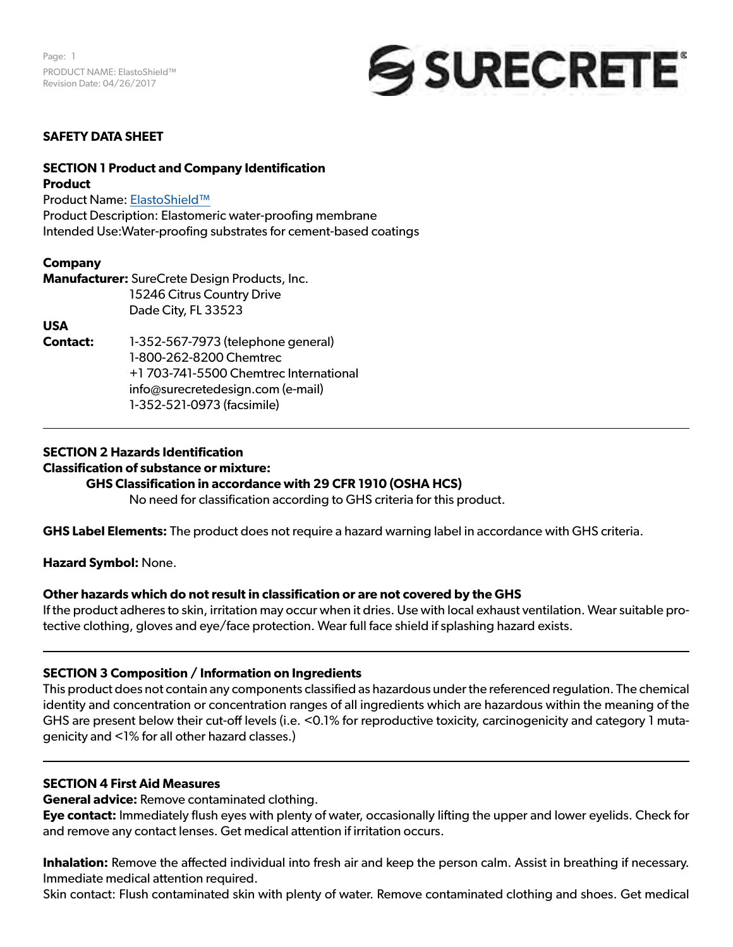

# **SAFETY DATA SHEET**

### **SECTION 1 Product and Company Identification Product**

Product Name: ElastoShield™ Product Description: Elastomeric water-proofing membrane Intended Use:Water-proofing substrates for cement-based coatings

### **Company**

**Manufacturer:** SureCrete Design Products, Inc. 15246 Citrus Country Drive Dade City, FL 33523

### **USA**

**Contact:** 1-352-567-7973 (telephone general) 1-800-262-8200 Chemtrec +1 703-741-5500 Chemtrec International info@surecretedesign.com (e-mail) 1-352-521-0973 (facsimile)

### **SECTION 2 Hazards Identification**

# **Classification of substance or mixture:**

### **GHS Classification in accordance with 29 CFR 1910 (OSHA HCS)**

No need for classification according to GHS criteria for this product.

**GHS Label Elements:** The product does not require a hazard warning label in accordance with GHS criteria.

**Hazard Symbol:** None.

### **Other hazards which do not result in classification or are not covered by the GHS**

If the product adheres to skin, irritation may occur when it dries. Use with local exhaust ventilation. Wear suitable protective clothing, gloves and eye/face protection. Wear full face shield if splashing hazard exists.

### **SECTION 3 Composition / Information on Ingredients**

This product does not contain any components classified as hazardous under the referenced regulation. The chemical identity and concentration or concentration ranges of all ingredients which are hazardous within the meaning of the GHS are present below their cut-off levels (i.e. <0.1% for reproductive toxicity, carcinogenicity and category 1 mutagenicity and <1% for all other hazard classes.)

### **SECTION 4 First Aid Measures**

**General advice:** Remove contaminated clothing.

**Eye contact:** Immediately flush eyes with plenty of water, occasionally lifting the upper and lower eyelids. Check for and remove any contact lenses. Get medical attention if irritation occurs.

**Inhalation:** Remove the affected individual into fresh air and keep the person calm. Assist in breathing if necessary. Immediate medical attention required.

Skin contact: Flush contaminated skin with plenty of water. Remove contaminated clothing and shoes. Get medical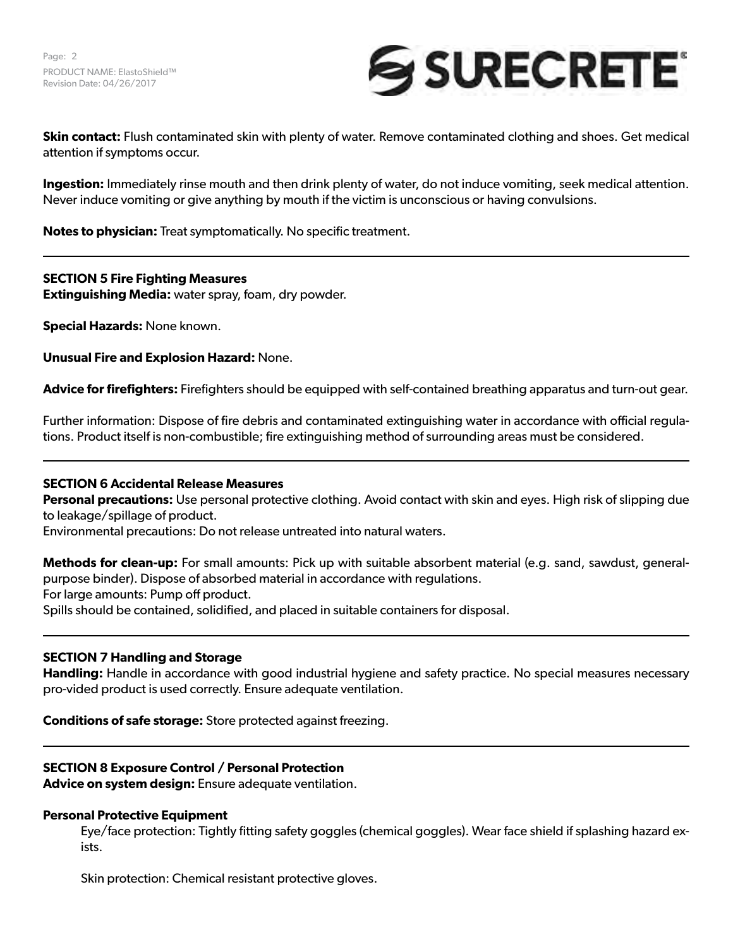

**Skin contact:** Flush contaminated skin with plenty of water. Remove contaminated clothing and shoes. Get medical attention if symptoms occur.

**Ingestion:** Immediately rinse mouth and then drink plenty of water, do not induce vomiting, seek medical attention. Never induce vomiting or give anything by mouth if the victim is unconscious or having convulsions.

**Notes to physician:** Treat symptomatically. No specific treatment.

# **SECTION 5 Fire Fighting Measures**

**Extinguishing Media:** water spray, foam, dry powder.

**Special Hazards:** None known.

**Unusual Fire and Explosion Hazard:** None.

**Advice for firefighters:** Firefighters should be equipped with self-contained breathing apparatus and turn-out gear.

Further information: Dispose of fire debris and contaminated extinguishing water in accordance with official regulations. Product itself is non-combustible; fire extinguishing method of surrounding areas must be considered.

# **SECTION 6 Accidental Release Measures**

**Personal precautions:** Use personal protective clothing. Avoid contact with skin and eyes. High risk of slipping due to leakage/spillage of product.

Environmental precautions: Do not release untreated into natural waters.

**Methods for clean-up:** For small amounts: Pick up with suitable absorbent material (e.g. sand, sawdust, generalpurpose binder). Dispose of absorbed material in accordance with regulations. For large amounts: Pump off product.

Spills should be contained, solidified, and placed in suitable containers for disposal.

# **SECTION 7 Handling and Storage**

**Handling:** Handle in accordance with good industrial hygiene and safety practice. No special measures necessary pro-vided product is used correctly. Ensure adequate ventilation.

**Conditions of safe storage:** Store protected against freezing.

# **SECTION 8 Exposure Control / Personal Protection**

**Advice on system design:** Ensure adequate ventilation.

### **Personal Protective Equipment**

Eye/face protection: Tightly fitting safety goggles (chemical goggles). Wear face shield if splashing hazard exists.

Skin protection: Chemical resistant protective gloves.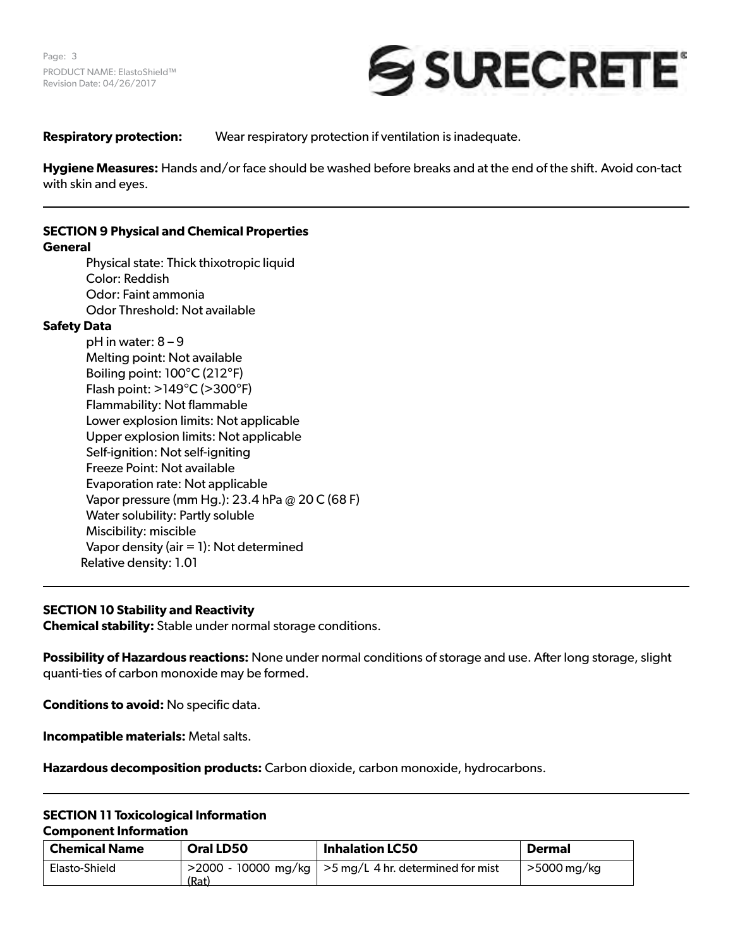

**Respiratory protection:** Wear respiratory protection if ventilation is inadequate.

**Hygiene Measures:** Hands and/or face should be washed before breaks and at the end of the shift. Avoid con-tact with skin and eyes.

# **SECTION 9 Physical and Chemical Properties**

### **General**

Physical state: Thick thixotropic liquid Color: Reddish Odor: Faint ammonia Odor Threshold: Not available

# **Safety Data**

pH in water: 8 – 9 Melting point: Not available Boiling point: 100°C (212°F) Flash point: >149°C (>300°F) Flammability: Not flammable Lower explosion limits: Not applicable Upper explosion limits: Not applicable Self-ignition: Not self-igniting Freeze Point: Not available Evaporation rate: Not applicable Vapor pressure (mm Hg.): 23.4 hPa @ 20⁰C (68⁰F) Water solubility: Partly soluble Miscibility: miscible Vapor density (air = 1): Not determined Relative density: 1.01

# **SECTION 10 Stability and Reactivity**

**Chemical stability:** Stable under normal storage conditions.

**Possibility of Hazardous reactions:** None under normal conditions of storage and use. After long storage, slight quanti-ties of carbon monoxide may be formed.

**Conditions to avoid:** No specific data.

**Incompatible materials:** Metal salts.

**Hazardous decomposition products:** Carbon dioxide, carbon monoxide, hydrocarbons.

### **SECTION 11 Toxicological Information Component Information**

| <b>Chemical Name</b> | Oral LD50 | <b>Inhalation LC50</b>                                             | <b>Dermal</b> |
|----------------------|-----------|--------------------------------------------------------------------|---------------|
| Elasto-Shield        | (Rat)     | $\sim$ 2000 - 10000 mg/kg $\mid$ >5 mg/L 4 hr. determined for mist | >5000 mg/kg   |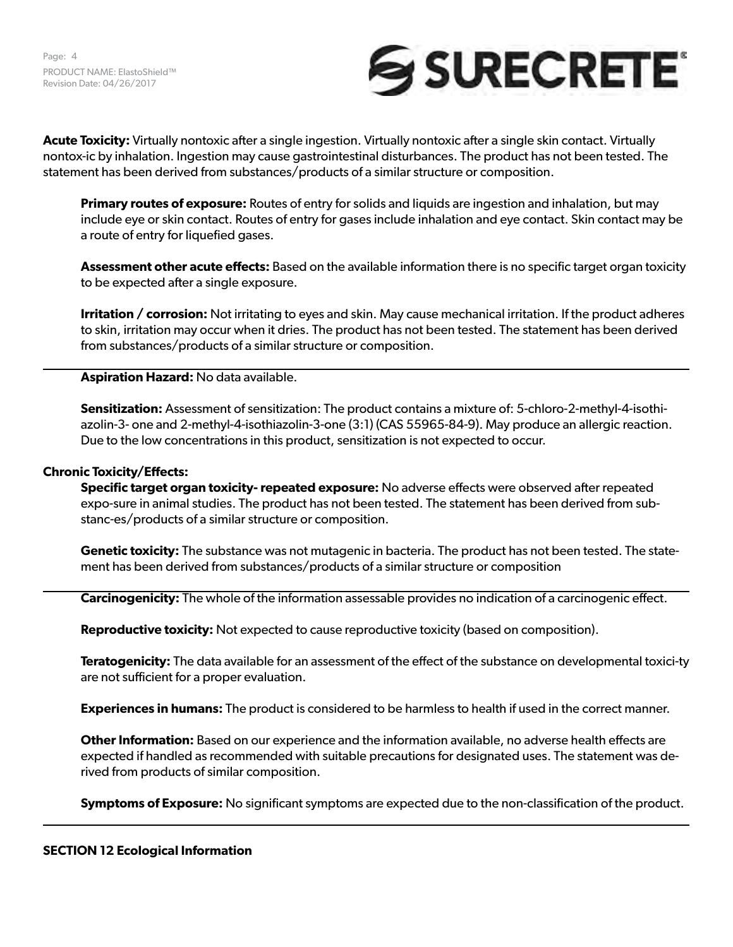Page: 4 PRODUCT NAME: ElastoShield™ Revision Date: 04/26/2017



**Acute Toxicity:** Virtually nontoxic after a single ingestion. Virtually nontoxic after a single skin contact. Virtually nontox-ic by inhalation. Ingestion may cause gastrointestinal disturbances. The product has not been tested. The statement has been derived from substances/products of a similar structure or composition.

**Primary routes of exposure:** Routes of entry for solids and liquids are ingestion and inhalation, but may include eye or skin contact. Routes of entry for gases include inhalation and eye contact. Skin contact may be a route of entry for liquefied gases.

**Assessment other acute effects:** Based on the available information there is no specific target organ toxicity to be expected after a single exposure.

**Irritation / corrosion:** Not irritating to eyes and skin. May cause mechanical irritation. If the product adheres to skin, irritation may occur when it dries. The product has not been tested. The statement has been derived from substances/products of a similar structure or composition.

**Aspiration Hazard:** No data available.

**Sensitization:** Assessment of sensitization: The product contains a mixture of: 5-chloro-2-methyl-4-isothiazolin-3- one and 2-methyl-4-isothiazolin-3-one (3:1) (CAS 55965-84-9). May produce an allergic reaction. Due to the low concentrations in this product, sensitization is not expected to occur.

### **Chronic Toxicity/Effects:**

**Specific target organ toxicity- repeated exposure:** No adverse effects were observed after repeated expo-sure in animal studies. The product has not been tested. The statement has been derived from substanc-es/products of a similar structure or composition.

**Genetic toxicity:** The substance was not mutagenic in bacteria. The product has not been tested. The statement has been derived from substances/products of a similar structure or composition

**Carcinogenicity:** The whole of the information assessable provides no indication of a carcinogenic effect.

**Reproductive toxicity:** Not expected to cause reproductive toxicity (based on composition).

**Teratogenicity:** The data available for an assessment of the effect of the substance on developmental toxici-ty are not sufficient for a proper evaluation.

**Experiences in humans:** The product is considered to be harmless to health if used in the correct manner.

**Other Information:** Based on our experience and the information available, no adverse health effects are expected if handled as recommended with suitable precautions for designated uses. The statement was derived from products of similar composition.

**Symptoms of Exposure:** No significant symptoms are expected due to the non-classification of the product.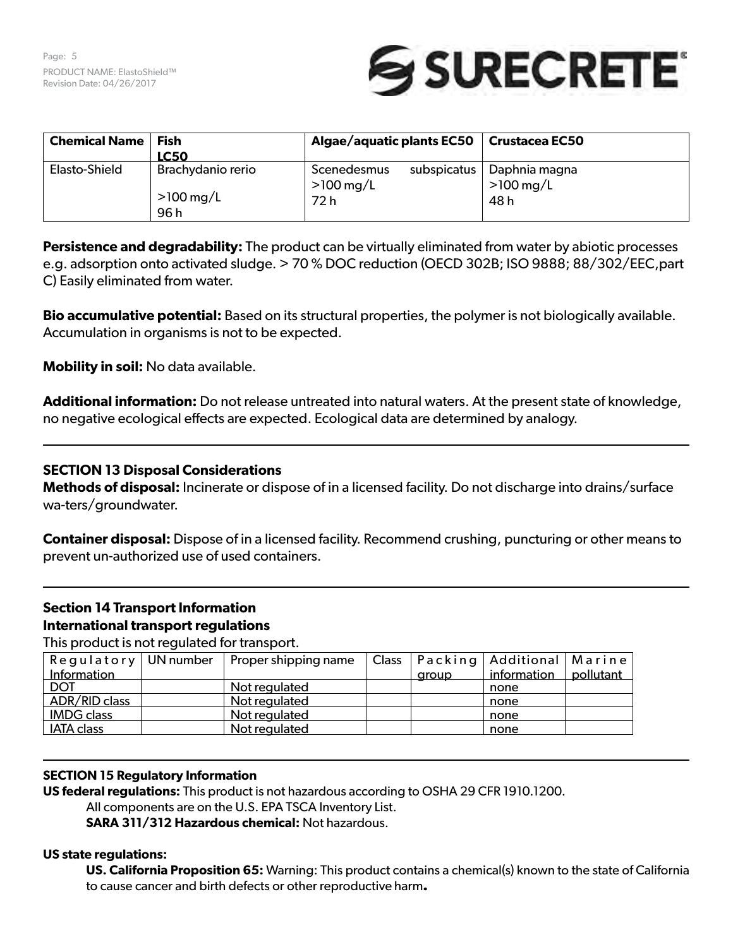

| <b>Chemical Name</b> | Fish<br><b>LC50</b>                      | Algae/aquatic plants EC50                         | Crustacea EC50                         |  |
|----------------------|------------------------------------------|---------------------------------------------------|----------------------------------------|--|
| Elasto-Shield        | Brachydanio rerio<br>$>100$ mg/L<br>96 h | subspicatus<br>Scenedesmus<br>$>100$ mg/L<br>72 h | . Daphnia magna<br>$>100$ mg/L<br>48 h |  |

**Persistence and degradability:** The product can be virtually eliminated from water by abiotic processes e.g. adsorption onto activated sludge. > 70 % DOC reduction (OECD 302B; ISO 9888; 88/302/EEC,part C) Easily eliminated from water.

**Bio accumulative potential:** Based on its structural properties, the polymer is not biologically available. Accumulation in organisms is not to be expected.

**Mobility in soil:** No data available.

**Additional information:** Do not release untreated into natural waters. At the present state of knowledge, no negative ecological effects are expected. Ecological data are determined by analogy.

# **SECTION 13 Disposal Considerations**

**Methods of disposal:** Incinerate or dispose of in a licensed facility. Do not discharge into drains/surface wa-ters/groundwater.

**Container disposal:** Dispose of in a licensed facility. Recommend crushing, puncturing or other means to prevent un-authorized use of used containers.

# **Section 14 Transport Information International transport regulations**

This product is not regulated for transport.

| $\mathsf{Regulatory} \mid \mathsf{UN number}$ | Proper shipping name |       |             |                                       |
|-----------------------------------------------|----------------------|-------|-------------|---------------------------------------|
|                                               |                      | aroup | information | pollutant                             |
|                                               | Not regulated        |       | none        |                                       |
|                                               | Not regulated        |       | none        |                                       |
|                                               | Not regulated        |       | none        |                                       |
|                                               | Not regulated        |       | none        |                                       |
|                                               |                      |       |             | Class   Packing   Additional   Marine |

# **SECTION 15 Regulatory Information**

**US federal regulations:** This product is not hazardous according to OSHA 29 CFR 1910.1200. All components are on the U.S. EPA TSCA Inventory List.

**SARA 311/312 Hazardous chemical:** Not hazardous.

# **US state regulations:**

**US. California Proposition 65:** Warning: This product contains a chemical(s) known to the state of California to cause cancer and birth defects or other reproductive harm**.**